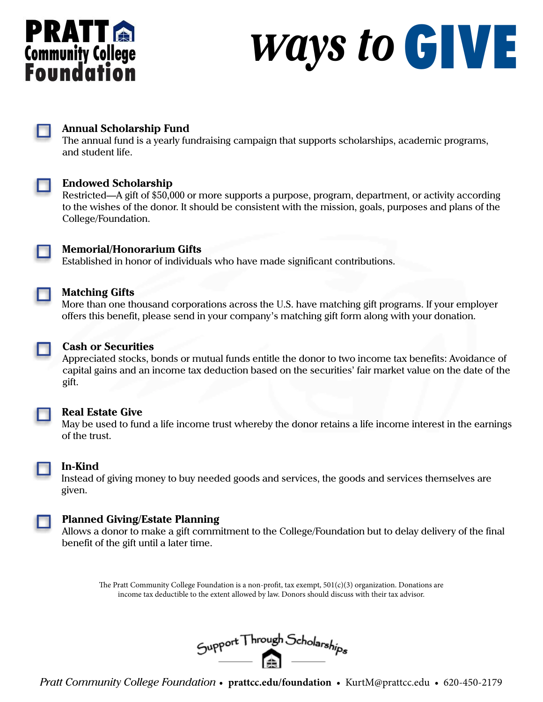# **PRATT &**<br>Community College<br>Foundation

## *Ways to* GIVE



#### **Annual Scholarship Fund**

The annual fund is a yearly fundraising campaign that supports scholarships, academic programs, and student life.



#### **Endowed Scholarship**

Restricted—A gift of \$50,000 or more supports a purpose, program, department, or activity according to the wishes of the donor. It should be consistent with the mission, goals, purposes and plans of the College/Foundation.



#### **Memorial/Honorarium Gifts**

Established in honor of individuals who have made significant contributions.

#### **Matching Gifts**

More than one thousand corporations across the U.S. have matching gift programs. If your employer offers this benefit, please send in your company's matching gift form along with your donation.



#### **Cash or Securities**

Appreciated stocks, bonds or mutual funds entitle the donor to two income tax benefits: Avoidance of capital gains and an income tax deduction based on the securities' fair market value on the date of the gift.



#### **Real Estate Give**

May be used to fund a life income trust whereby the donor retains a life income interest in the earnings of the trust.



#### **In-Kind**

Instead of giving money to buy needed goods and services, the goods and services themselves are given.



#### **Planned Giving/Estate Planning**

Allows a donor to make a gift commitment to the College/Foundation but to delay delivery of the final benefit of the gift until a later time.

The Pratt Community College Foundation is a non-profit, tax exempt, 501(c)(3) organization. Donations are income tax deductible to the extent allowed by law. Donors should discuss with their tax advisor.



*Pratt Community College Foundation* • **prattcc.edu/foundation** • KurtM@prattcc.edu • 620-450-2179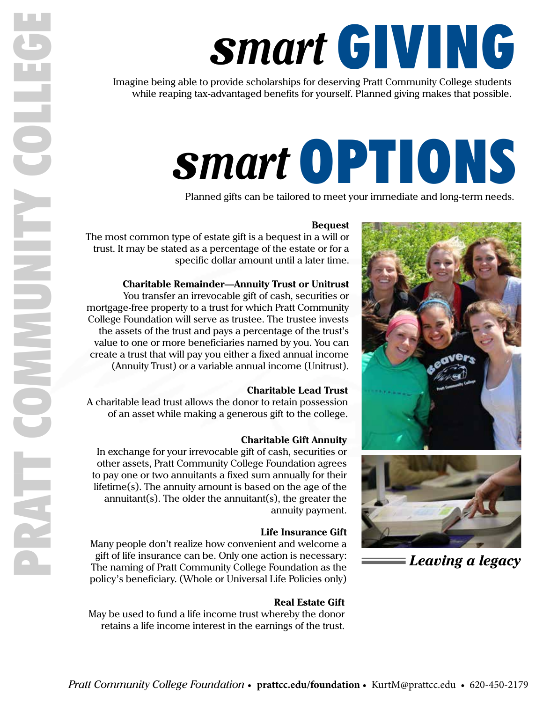## *smart* GIVING

Imagine being able to provide scholarships for deserving Pratt Community College students while reaping tax-advantaged benefits for yourself. Planned giving makes that possible.

## *smart* OPTIONS

Planned gifts can be tailored to meet your immediate and long-term needs.

#### **Bequest**

The most common type of estate gift is a bequest in a will or trust. It may be stated as a percentage of the estate or for a specific dollar amount until a later time.

#### **Charitable Remainder—Annuity Trust or Unitrust**

You transfer an irrevocable gift of cash, securities or mortgage-free property to a trust for which Pratt Community College Foundation will serve as trustee. The trustee invests the assets of the trust and pays a percentage of the trust's value to one or more beneficiaries named by you. You can create a trust that will pay you either a fixed annual income (Annuity Trust) or a variable annual income (Unitrust).

#### **Charitable Lead Trust**

A charitable lead trust allows the donor to retain possession of an asset while making a generous gift to the college.

#### **Charitable Gift Annuity**

In exchange for your irrevocable gift of cash, securities or other assets, Pratt Community College Foundation agrees to pay one or two annuitants a fixed sum annually for their lifetime(s). The annuity amount is based on the age of the annuitant(s). The older the annuitant(s), the greater the annuity payment.

#### **Life Insurance Gift**

Many people don't realize how convenient and welcome a gift of life insurance can be. Only one action is necessary: The naming of Pratt Community College Foundation as the policy's beneficiary. (Whole or Universal Life Policies only)

#### **Real Estate Gift**

May be used to fund a life income trust whereby the donor retains a life income interest in the earnings of the trust.





*Leaving a legacy*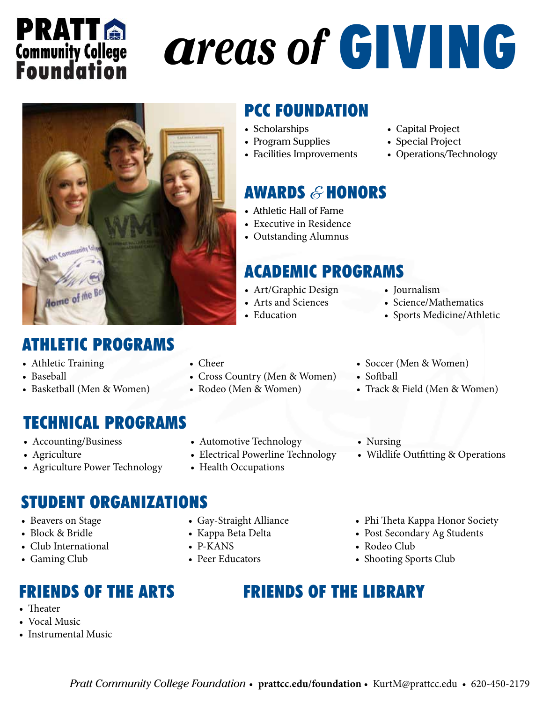## **PRATTA Community College**<br>**Foundation**

# *areas of* GIVING



### ATHLETIC PROGRAMS

- Athletic Training
- Baseball
- Basketball (Men & Women)

### TECHNICAL PROGRAMS

- Accounting/Business
- Agriculture
- Agriculture Power Technology

### PCC FOUNDATION

- Scholarships
- Program Supplies
- Facilities Improvements

### **AWARDS & HONORS**

- Athletic Hall of Fame
- Executive in Residence
- Outstanding Alumnus

### ACADEMIC PROGRAMS

- Art/Graphic Design
- Arts and Sciences
- Education

• Cross Country (Men & Women)

• Rodeo (Men & Women)

• Automotive Technology

• Electrical Powerline Technology

• Capital Project • Special Project

• Operations/Technology

- Journalism
- Science/Mathematics
- Sports Medicine/Athletic
- Soccer (Men & Women)
- Softball
- Track & Field (Men & Women)
- Nursing
- Wildlife Outfitting & Operations

- STUDENT ORGANIZATIONS
- Beavers on Stage
- Block & Bridle
- Club International
- Gaming Club

### FRIENDS OF THE ARTS

- Theater
- Vocal Music
- Instrumental Music

• Gay-Straight Alliance

• Health Occupations

- Kappa Beta Delta
- P-KANS

• Cheer

• Peer Educators

- Phi Theta Kappa Honor Society
- Post Secondary Ag Students
- Rodeo Club
- Shooting Sports Club
- FRIENDS OF THE LIBRARY